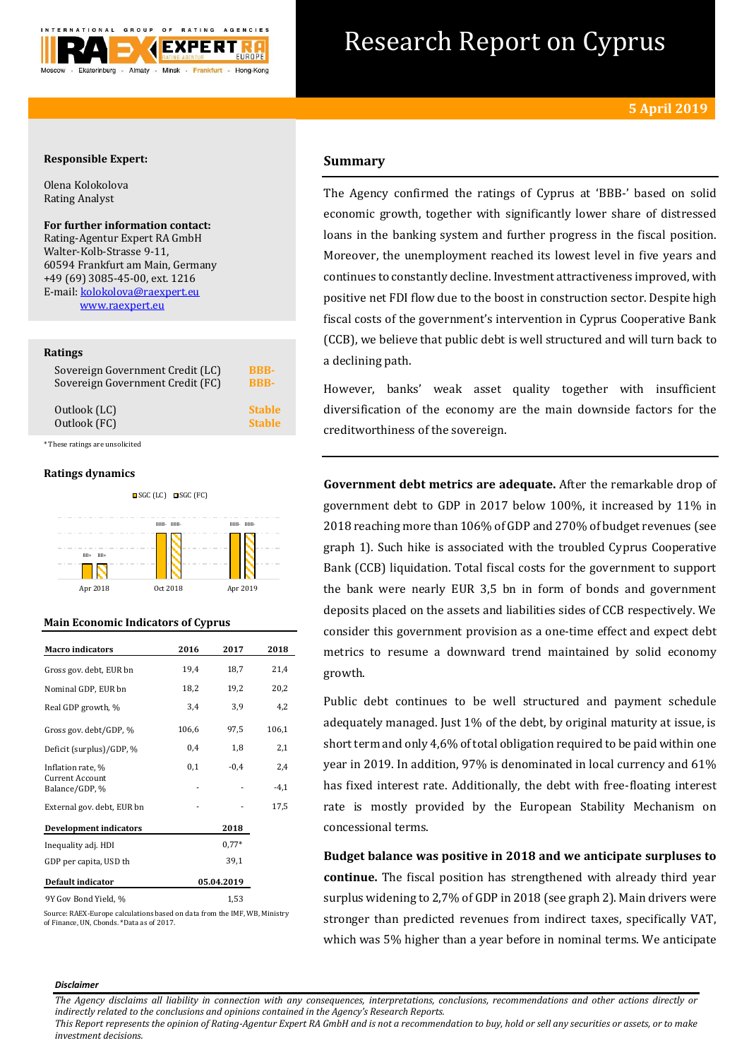

# Research Report on Cyprus

## **Responsible Expert:**

Olena Kolokolova Rating Analyst

**For further information contact:** Rating-Agentur Expert RA GmbH Walter-Kolb-Strasse 9-11, 60594 Frankfurt am Main, Germany +49 (69) 3085-45-00, ext. 1216 E-mail: kolokolova@raexpert.eu [www.raexpert.eu](http://raexpert.eu/)

#### **Ratings**

| Sovereign Government Credit (LC) | <b>BBB-</b>   |
|----------------------------------|---------------|
| Sovereign Government Credit (FC) | <b>RRR-</b>   |
| Outlook (LC)                     | <b>Stable</b> |
| Outlook (FC)                     | <b>Stable</b> |

\* These ratings are unsolicited

### **Ratings dynamics**



# **Main Economic Indicators of Cyprus**

| <b>Macro</b> indicators              | 2016  | 2017       | 2018   |
|--------------------------------------|-------|------------|--------|
| Gross gov. debt, EUR bn              | 19,4  | 18,7       | 21,4   |
| Nominal GDP, EUR bn                  | 18,2  | 19,2       | 20,2   |
| Real GDP growth, %                   | 3,4   | 3,9        | 4,2    |
| Gross gov. debt/GDP, %               | 106,6 | 97,5       | 106,1  |
| Deficit (surplus)/GDP, %             | 0,4   | 1,8        | 2,1    |
| Inflation rate, %<br>Current Account | 0,1   | $-0.4$     | 2,4    |
| Balance/GDP, %                       |       |            | $-4,1$ |
| External gov. debt, EUR bn           |       |            | 17,5   |
| <b>Development indicators</b>        |       | 2018       |        |
| Inequality adj. HDI                  |       | $0.77*$    |        |
| GDP per capita, USD th               |       | 39,1       |        |
| <b>Default indicator</b>             |       | 05.04.2019 |        |
|                                      |       |            |        |

9Y Gov Bond Yield, % 1,53

Source: RAEX-Europe calculations based on data from the IMF, WB, Ministry of Finance, UN, Cbonds. \*Data as of 2017.

# **Summary**

The Agency confirmed the ratings of Cyprus at 'BBB-' based on solid economic growth, together with significantly lower share of distressed loans in the banking system and further progress in the fiscal position. Moreover, the unemployment reached its lowest level in five years and continues to constantly decline. Investment attractiveness improved, with positive net FDI flow due to the boost in construction sector. Despite high fiscal costs of the government's intervention in Cyprus Cooperative Bank (CCB), we believe that public debt is well structured and will turn back to a declining path.

However, banks' weak asset quality together with insufficient diversification of the economy are the main downside factors for the creditworthiness of the sovereign.

**Government debt metrics are adequate.** After the remarkable drop of government debt to GDP in 2017 below 100%, it increased by 11% in 2018 reaching more than 106% of GDP and 270% of budget revenues (see graph 1). Such hike is associated with the troubled Cyprus Cooperative Bank (CCB) liquidation. Total fiscal costs for the government to support the bank were nearly EUR 3,5 bn in form of bonds and government deposits placed on the assets and liabilities sides of CCB respectively. We consider this government provision as a one-time effect and expect debt metrics to resume a downward trend maintained by solid economy growth.

Public debt continues to be well structured and payment schedule adequately managed. Just 1% of the debt, by original maturity at issue, is short term and only 4,6% of total obligation required to be paid within one year in 2019. In addition, 97% is denominated in local currency and 61% has fixed interest rate. Additionally, the debt with free-floating interest rate is mostly provided by the European Stability Mechanism on concessional terms.

**Budget balance was positive in 2018 and we anticipate surpluses to continue.** The fiscal position has strengthened with already third year surplus widening to 2,7% of GDP in 2018 (see graph 2). Main drivers were stronger than predicted revenues from indirect taxes, specifically VAT, which was 5% higher than a year before in nominal terms. We anticipate

#### *Disclaimer*

*The Agency disclaims all liability in connection with any consequences, interpretations, conclusions, recommendations and other actions directly or indirectly related to the conclusions and opinions contained in the Agency's Research Reports.*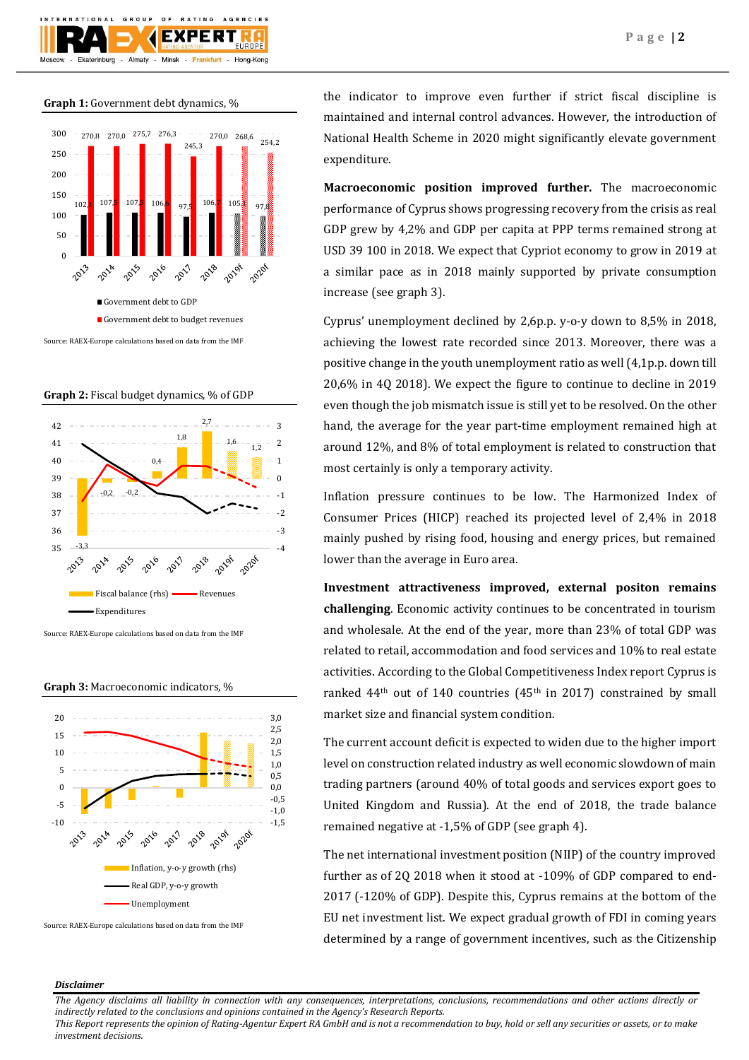

**Graph 1:** Government debt dynamics, %



**Graph 2:** Fiscal budget dynamics, % of GDP



Source: RAEX-Europe calculations based on data from the IMF

**Graph 3:** Macroeconomic indicators, %



Source: RAEX-Europe calculations based on data from the IMF

the indicator to improve even further if strict fiscal discipline is maintained and internal control advances. However, the introduction of National Health Scheme in 2020 might significantly elevate government expenditure.

**Macroeconomic position improved further.** The macroeconomic performance of Cyprus shows progressing recovery from the crisis as real GDP grew by 4,2% and GDP per capita at PPP terms remained strong at USD 39 100 in 2018. We expect that Cypriot economy to grow in 2019 at a similar pace as in 2018 mainly supported by private consumption increase (see graph 3).

Cyprus' unemployment declined by 2,6p.p. y-o-y down to 8,5% in 2018, achieving the lowest rate recorded since 2013. Moreover, there was a positive change in the youth unemployment ratio as well (4,1p.p. down till 20,6% in 4Q 2018). We expect the figure to continue to decline in 2019 even though the job mismatch issue is still yet to be resolved. On the other hand, the average for the year part-time employment remained high at around 12%, and 8% of total employment is related to construction that most certainly is only a temporary activity.

Inflation pressure continues to be low. The Harmonized Index of Consumer Prices (HICP) reached its projected level of 2,4% in 2018 mainly pushed by rising food, housing and energy prices, but remained lower than the average in Euro area.

**Investment attractiveness improved, external positon remains challenging**. Economic activity continues to be concentrated in tourism and wholesale. At the end of the year, more than 23% of total GDP was related to retail, accommodation and food services and 10% to real estate activities. According to the Global Competitiveness Index report Cyprus is ranked  $44<sup>th</sup>$  out of 140 countries ( $45<sup>th</sup>$  in 2017) constrained by small market size and financial system condition.

The current account deficit is expected to widen due to the higher import level on construction related industry as well economic slowdown of main trading partners (around 40% of total goods and services export goes to United Kingdom and Russia). At the end of 2018, the trade balance remained negative at -1,5% of GDP (see graph 4).

The net international investment position (NIIP) of the country improved further as of 2Q 2018 when it stood at -109% of GDP compared to end-2017 (-120% of GDP). Despite this, Cyprus remains at the bottom of the EU net investment list. We expect gradual growth of FDI in coming years determined by a range of government incentives, such as the Citizenship

#### *Disclaimer*

*The Agency disclaims all liability in connection with any consequences, interpretations, conclusions, recommendations and other actions directly or indirectly related to the conclusions and opinions contained in the Agency's Research Reports.*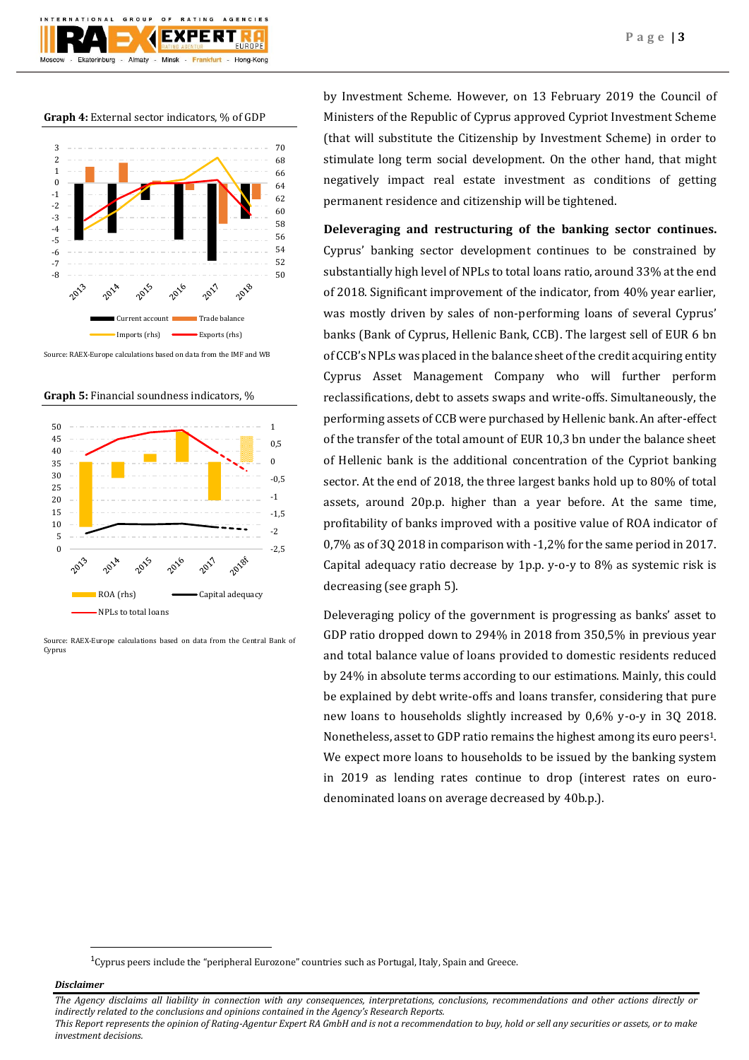**Graph 4:** External sector indicators, % of GDP

Almaty - Minsk -

 $O F$ 

GROUP

Ekaterinburg

**BATING** 

**EXPERT** 

Frankfurt -

AGENCIES

Hong-Kong



Source: RAEX-Europe calculations based on data from the IMF and WB

**Graph 5:** Financial soundness indicators, %



Source: RAEX-Europe calculations based on data from the Central Bank of Cyprus

by Investment Scheme. However, on 13 February 2019 the Council of Ministers of the Republic of Cyprus approved Cypriot Investment Scheme (that will substitute the Citizenship by Investment Scheme) in order to stimulate long term social development. On the other hand, that might negatively impact real estate investment as conditions of getting permanent residence and citizenship will be tightened.

**Deleveraging and restructuring of the banking sector continues.** Cyprus' banking sector development continues to be constrained by substantially high level of NPLs to total loans ratio, around 33% at the end of 2018. Significant improvement of the indicator, from 40% year earlier, was mostly driven by sales of non-performing loans of several Cyprus' banks (Bank of Cyprus, Hellenic Bank, CCB). The largest sell of EUR 6 bn of CCB's NPLs was placed in the balance sheet of the credit acquiring entity Cyprus Asset Management Company who will further perform reclassifications, debt to assets swaps and write-offs. Simultaneously, the performing assets of CCB were purchased by Hellenic bank. An after-effect of the transfer of the total amount of EUR 10,3 bn under the balance sheet of Hellenic bank is the additional concentration of the Cypriot banking sector. At the end of 2018, the three largest banks hold up to 80% of total assets, around 20p.p. higher than a year before. At the same time, profitability of banks improved with a positive value of ROA indicator of 0,7% as of 3Q 2018 in comparison with -1,2% for the same period in 2017. Capital adequacy ratio decrease by 1p.p. y-o-y to 8% as systemic risk is decreasing (see graph 5).

Deleveraging policy of the government is progressing as banks' asset to GDP ratio dropped down to 294% in 2018 from 350,5% in previous year and total balance value of loans provided to domestic residents reduced by 24% in absolute terms according to our estimations. Mainly, this could be explained by debt write-offs and loans transfer, considering that pure new loans to households slightly increased by 0,6% y-o-y in 3Q 2018. Nonetheless, asset to GDP ratio remains the highest among its euro peers1. We expect more loans to households to be issued by the banking system in 2019 as lending rates continue to drop (interest rates on eurodenominated loans on average decreased by 40b.p.).

*Disclaimer* 

**.** 

*The Agency disclaims all liability in connection with any consequences, interpretations, conclusions, recommendations and other actions directly or indirectly related to the conclusions and opinions contained in the Agency's Research Reports.*

 $1$ <sup>1</sup>Cyprus peers include the "peripheral Eurozone" countries such as Portugal, Italy, Spain and Greece.